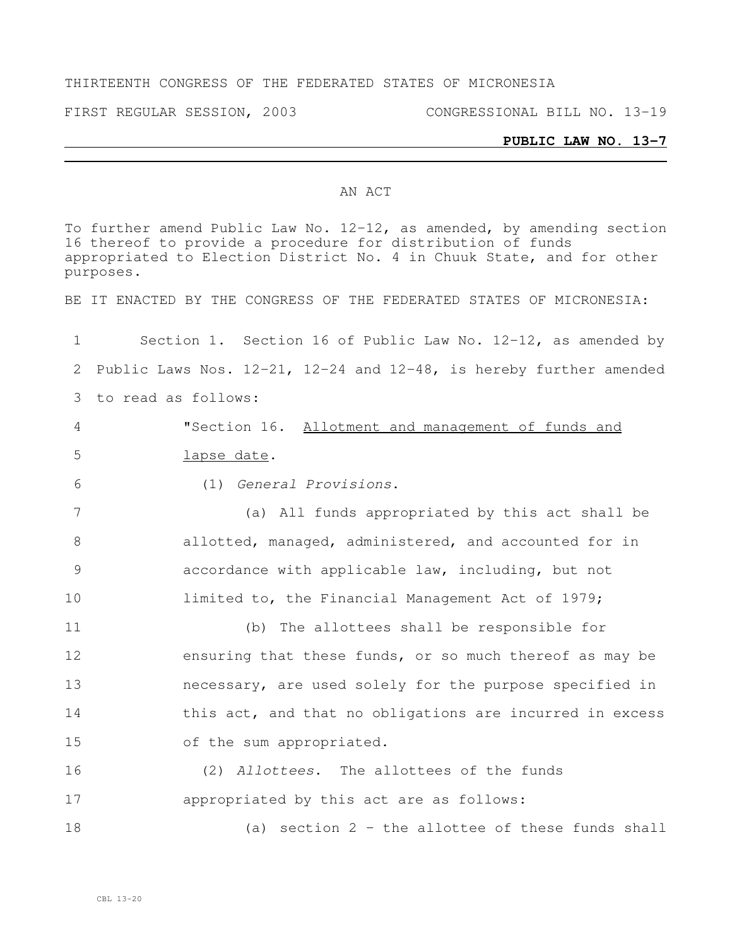#### THIRTEENTH CONGRESS OF THE FEDERATED STATES OF MICRONESIA

FIRST REGULAR SESSION, 2003 CONGRESSIONAL BILL NO. 13-19

#### **PUBLIC LAW NO. 13-7**

#### AN ACT

To further amend Public Law No. 12-12, as amended, by amending section thereof to provide a procedure for distribution of funds appropriated to Election District No. 4 in Chuuk State, and for other purposes. BE IT ENACTED BY THE CONGRESS OF THE FEDERATED STATES OF MICRONESIA: Section 1. Section 16 of Public Law No. 12-12, as amended by Public Laws Nos. 12-21, 12-24 and 12-48, is hereby further amended to read as follows: "Section 16. Allotment and management of funds and lapse date. (1) *General Provisions*. (a) All funds appropriated by this act shall be allotted, managed, administered, and accounted for in accordance with applicable law, including, but not **limited to, the Financial Management Act of 1979;**  (b) The allottees shall be responsible for 12 ensuring that these funds, or so much thereof as may be necessary, are used solely for the purpose specified in 14 this act, and that no obligations are incurred in excess of the sum appropriated. (2) *Allottees*. The allottees of the funds appropriated by this act are as follows: (a) section 2 – the allottee of these funds shall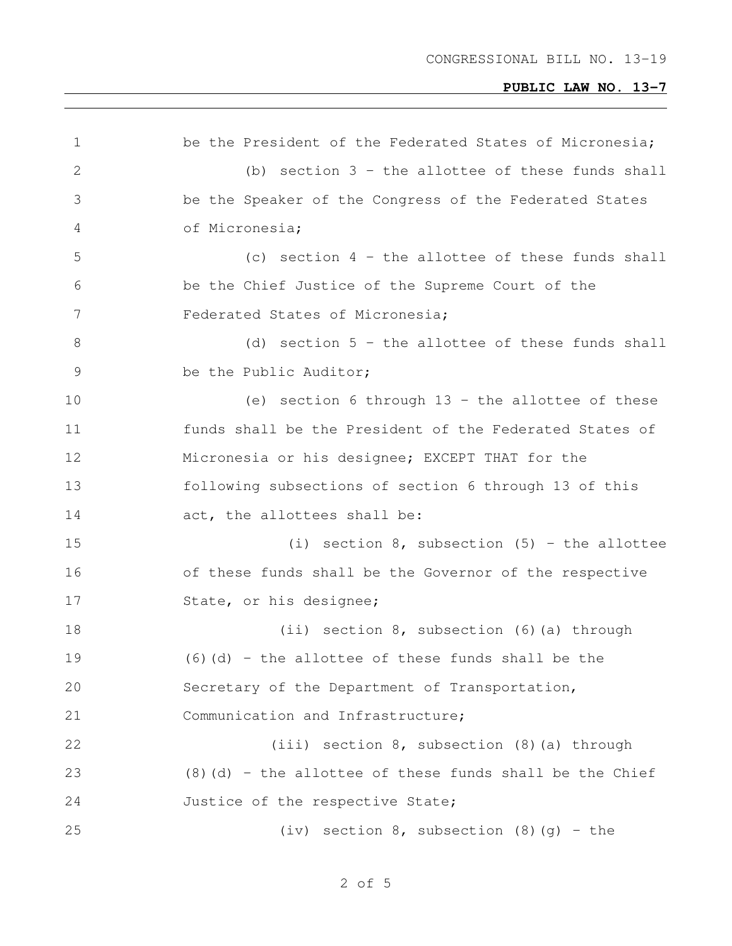| 1     | be the President of the Federated States of Micronesia;    |
|-------|------------------------------------------------------------|
| 2     | (b) section $3$ - the allottee of these funds shall        |
| 3     | be the Speaker of the Congress of the Federated States     |
| 4     | of Micronesia;                                             |
| 5     | (c) section $4$ - the allottee of these funds shall        |
| 6     | be the Chief Justice of the Supreme Court of the           |
| 7     | Federated States of Micronesia;                            |
| $8\,$ | (d) section $5$ - the allottee of these funds shall        |
| 9     | be the Public Auditor;                                     |
| 10    | (e) section 6 through $13$ - the allottee of these         |
| 11    | funds shall be the President of the Federated States of    |
| 12    | Micronesia or his designee; EXCEPT THAT for the            |
| 13    | following subsections of section 6 through 13 of this      |
| 14    | act, the allottees shall be:                               |
| 15    | (i) section $8$ , subsection $(5)$ - the allottee          |
| 16    | of these funds shall be the Governor of the respective     |
| 17    | State, or his designee;                                    |
| 18    | (ii) section $8$ , subsection $(6)$ (a) through            |
| 19    | $(6)$ (d) - the allottee of these funds shall be the       |
| 20    | Secretary of the Department of Transportation,             |
| 21    | Communication and Infrastructure;                          |
| 22    | (iii) section 8, subsection (8) (a) through                |
| 23    | $(8)$ (d) - the allottee of these funds shall be the Chief |
| 24    | Justice of the respective State;                           |
| 25    | (iv) section $8$ , subsection $(8)$ $(g)$ - the            |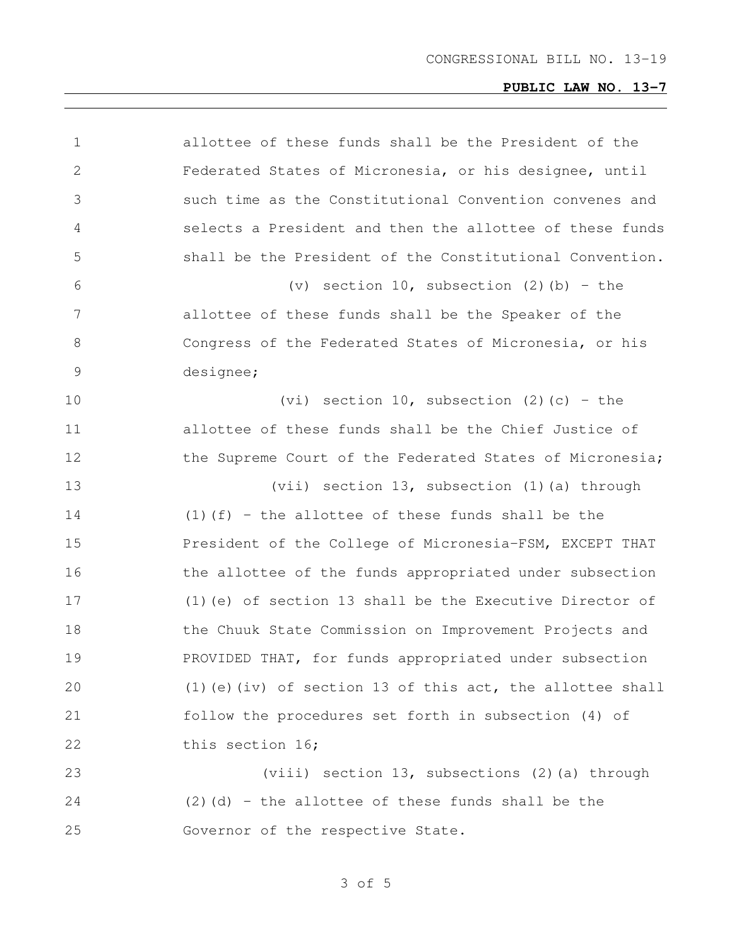| allottee of these funds shall be the President of the        |
|--------------------------------------------------------------|
| Federated States of Micronesia, or his designee, until       |
| such time as the Constitutional Convention convenes and      |
| selects a President and then the allottee of these funds     |
| shall be the President of the Constitutional Convention.     |
| (v) section $10$ , subsection (2)(b) - the                   |
| allottee of these funds shall be the Speaker of the          |
| Congress of the Federated States of Micronesia, or his       |
| designee;                                                    |
| (vi) section 10, subsection (2) (c) - the                    |
| allottee of these funds shall be the Chief Justice of        |
| the Supreme Court of the Federated States of Micronesia;     |
|                                                              |
| (vii) section 13, subsection (1) (a) through                 |
| $(1)$ (f) - the allottee of these funds shall be the         |
| President of the College of Micronesia-FSM, EXCEPT THAT      |
| the allottee of the funds appropriated under subsection      |
| $(1)$ (e) of section 13 shall be the Executive Director of   |
| the Chuuk State Commission on Improvement Projects and       |
| PROVIDED THAT, for funds appropriated under subsection       |
| $(1)$ (e) (iv) of section 13 of this act, the allottee shall |
| follow the procedures set forth in subsection (4) of         |
| this section 16;                                             |
| (viii) section 13, subsections (2) (a) through               |
| $(2)$ (d) - the allottee of these funds shall be the         |
|                                                              |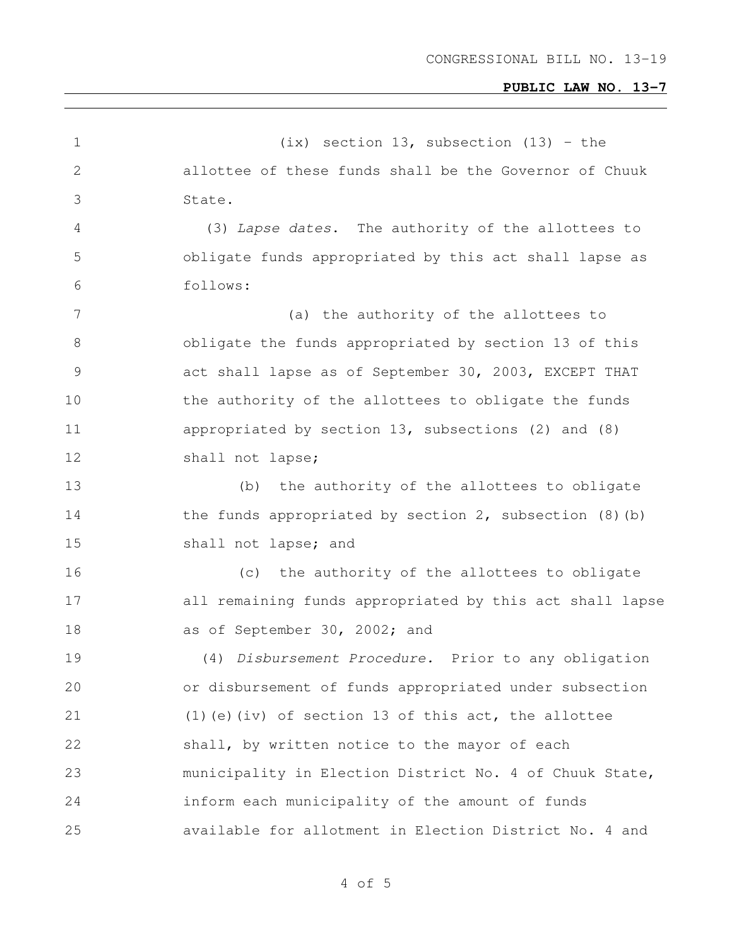| $\mathbf 1$    | $(ix)$ section 13, subsection (13) - the                     |
|----------------|--------------------------------------------------------------|
| $\mathbf 2$    | allottee of these funds shall be the Governor of Chuuk       |
| 3              | State.                                                       |
| 4              | (3) Lapse dates. The authority of the allottees to           |
| 5              | obligate funds appropriated by this act shall lapse as       |
| 6              | follows:                                                     |
| $\overline{7}$ | (a) the authority of the allottees to                        |
| $8\,$          | obligate the funds appropriated by section 13 of this        |
| $\mathcal{G}$  | act shall lapse as of September 30, 2003, EXCEPT THAT        |
| 10             | the authority of the allottees to obligate the funds         |
| 11             | appropriated by section 13, subsections (2) and (8)          |
| 12             | shall not lapse;                                             |
| 13             | the authority of the allottees to obligate<br>(b)            |
| 14             | the funds appropriated by section $2$ , subsection $(8)$ (b) |
| 15             | shall not lapse; and                                         |
| 16             | the authority of the allottees to obligate<br>(c)            |
| 17             | all remaining funds appropriated by this act shall lapse     |
| 18             | as of September 30, 2002; and                                |
| 19             | (4) Disbursement Procedure. Prior to any obligation          |
| 20             | or disbursement of funds appropriated under subsection       |
| 21             | $(1)$ (e) (iv) of section 13 of this act, the allottee       |
| 22             | shall, by written notice to the mayor of each                |
| 23             | municipality in Election District No. 4 of Chuuk State,      |
| 24             | inform each municipality of the amount of funds              |
| 25             | available for allotment in Election District No. 4 and       |
|                |                                                              |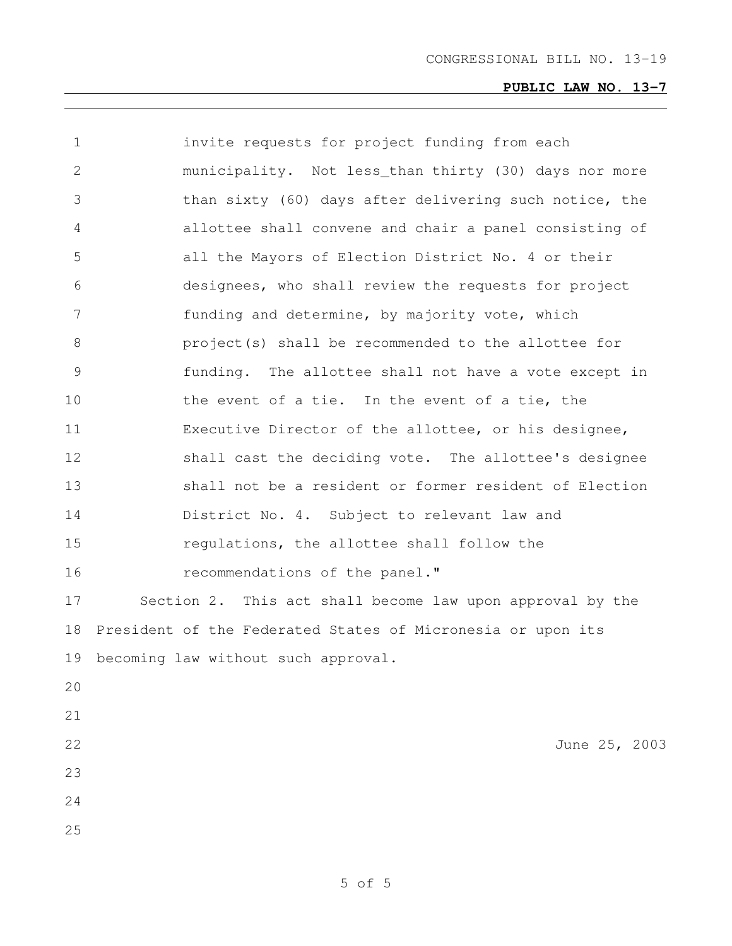| 1  | invite requests for project funding from each               |
|----|-------------------------------------------------------------|
| 2  | municipality. Not less_than thirty (30) days nor more       |
| 3  | than sixty (60) days after delivering such notice, the      |
| 4  | allottee shall convene and chair a panel consisting of      |
| 5  | all the Mayors of Election District No. 4 or their          |
| 6  | designees, who shall review the requests for project        |
| 7  | funding and determine, by majority vote, which              |
| 8  | project(s) shall be recommended to the allottee for         |
| 9  | funding. The allottee shall not have a vote except in       |
| 10 | the event of a tie. In the event of a tie, the              |
| 11 | Executive Director of the allottee, or his designee,        |
| 12 | shall cast the deciding vote. The allottee's designee       |
| 13 | shall not be a resident or former resident of Election      |
| 14 | District No. 4. Subject to relevant law and                 |
| 15 | regulations, the allottee shall follow the                  |
| 16 | recommendations of the panel."                              |
| 17 | Section 2. This act shall become law upon approval by the   |
| 18 | President of the Federated States of Micronesia or upon its |
| 19 | becoming law without such approval.                         |
| 20 |                                                             |
| 21 |                                                             |
| 22 | June 25, 2003                                               |
| 23 |                                                             |
| 24 |                                                             |
| 25 |                                                             |